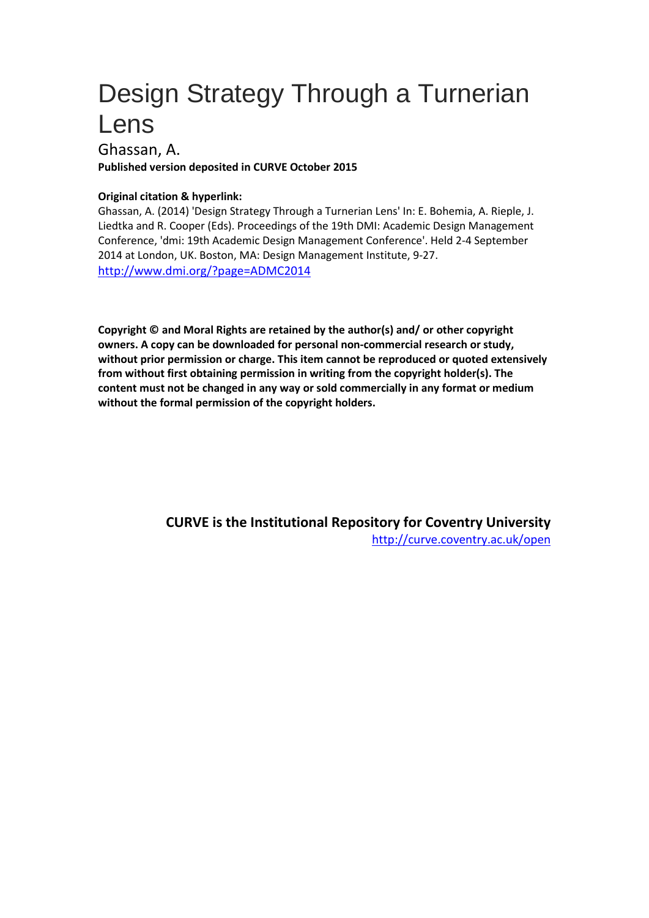# Design Strategy Through a Turnerian Lens

Ghassan, A.

**Published version deposited in CURVE October 2015**

### **Original citation & hyperlink:**

Ghassan, A. (2014) 'Design Strategy Through a Turnerian Lens' In: E. Bohemia, A. Rieple, J. Liedtka and R. Cooper (Eds). Proceedings of the 19th DMI: Academic Design Management Conference, 'dmi: 19th Academic Design Management Conference'. Held 2-4 September 2014 at London, UK. Boston, MA: Design Management Institute, 9-27. <http://www.dmi.org/?page=ADMC2014>

**Copyright © and Moral Rights are retained by the author(s) and/ or other copyright owners. A copy can be downloaded for personal non-commercial research or study, without prior permission or charge. This item cannot be reproduced or quoted extensively from without first obtaining permission in writing from the copyright holder(s). The content must not be changed in any way or sold commercially in any format or medium without the formal permission of the copyright holders.** 

> **CURVE is the Institutional Repository for Coventry University** <http://curve.coventry.ac.uk/open>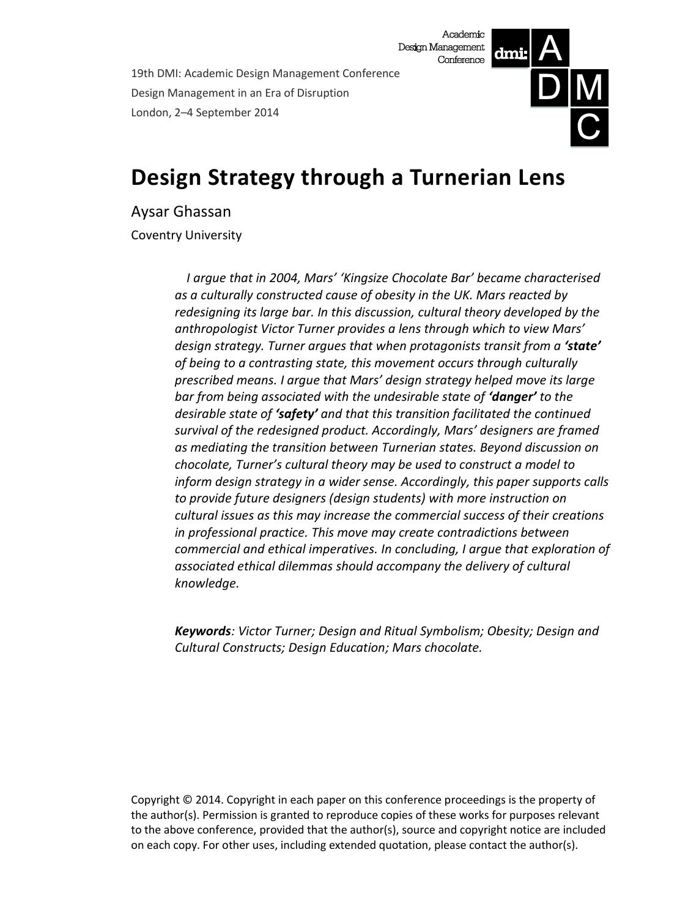19th DMI: Academic Design Management Conference Design Management in an Era of Disruption London, 2–4 September 2014



# **Design Strategy through a Turnerian Lens**

Aysar Ghassan

Coventry University

*I argue that in 2004, Mars' 'Kingsize Chocolate Bar' became characterised as a culturally constructed cause of obesity in the UK. Mars reacted by redesigning its large bar. In this discussion, cultural theory developed by the anthropologist Victor Turner provides a lens through which to view Mars' design strategy. Turner argues that when protagonists transit from a 'state' of being to a contrasting state, this movement occurs through culturally prescribed means. I argue that Mars' design strategy helped move its large bar from being associated with the undesirable state of 'danger' to the desirable state of 'safety' and that this transition facilitated the continued survival of the redesigned product. Accordingly, Mars' designers are framed as mediating the transition between Turnerian states. Beyond discussion on chocolate, Turner's cultural theory may be used to construct a model to inform design strategy in a wider sense. Accordingly, this paper supports calls to provide future designers (design students) with more instruction on cultural issues as this may increase the commercial success of their creations in professional practice. This move may create contradictions between commercial and ethical imperatives. In concluding, I argue that exploration of associated ethical dilemmas should accompany the delivery of cultural knowledge.*

*Keywords: Victor Turner; Design and Ritual Symbolism; Obesity; Design and Cultural Constructs; Design Education; Mars chocolate.*

Copyright © 2014. Copyright in each paper on this conference proceedings is the property of the author(s). Permission is granted to reproduce copies of these works for purposes relevant to the above conference, provided that the author(s), source and copyright notice are included on each copy. For other uses, including extended quotation, please contact the author(s).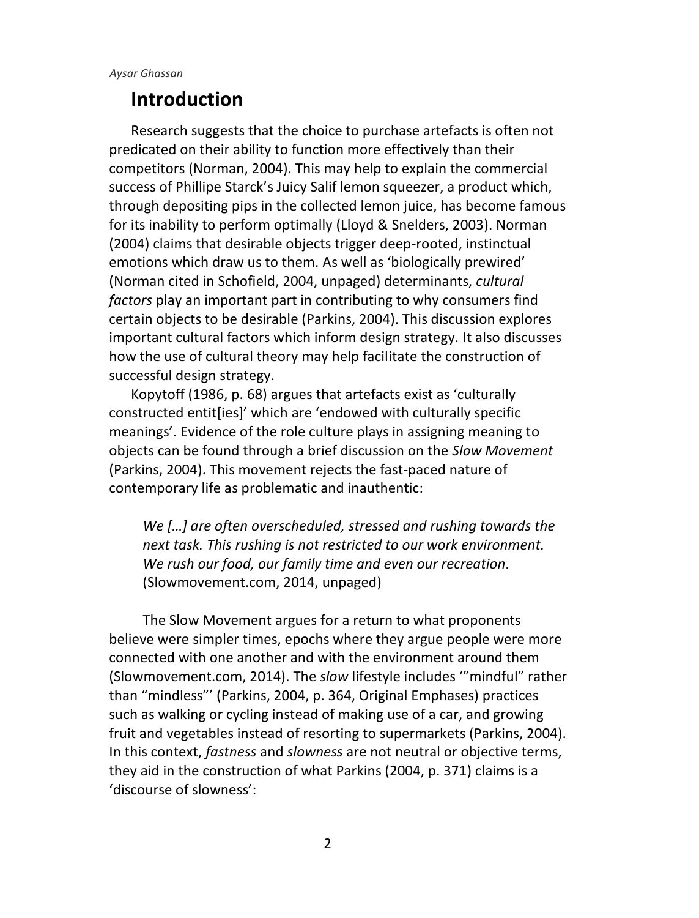# **Introduction**

Research suggests that the choice to purchase artefacts is often not predicated on their ability to function more effectively than their competitors (Norman, 2004). This may help to explain the commercial success of Phillipe Starck's Juicy Salif lemon squeezer, a product which, through depositing pips in the collected lemon juice, has become famous for its inability to perform optimally (Lloyd & Snelders, 2003). Norman (2004) claims that desirable objects trigger deep-rooted, instinctual emotions which draw us to them. As well as 'biologically prewired' (Norman cited in Schofield, 2004, unpaged) determinants, *cultural factors* play an important part in contributing to why consumers find certain objects to be desirable (Parkins, 2004). This discussion explores important cultural factors which inform design strategy. It also discusses how the use of cultural theory may help facilitate the construction of successful design strategy.

Kopytoff (1986, p. 68) argues that artefacts exist as 'culturally constructed entit[ies]' which are 'endowed with culturally specific meanings'. Evidence of the role culture plays in assigning meaning to objects can be found through a brief discussion on the *Slow Movement* (Parkins, 2004). This movement rejects the fast-paced nature of contemporary life as problematic and inauthentic:

*We […] are often overscheduled, stressed and rushing towards the next task. This rushing is not restricted to our work environment. We rush our food, our family time and even our recreation.* (Slowmovement.com, 2014, unpaged)

The Slow Movement argues for a return to what proponents believe were simpler times, epochs where they argue people were more connected with one another and with the environment around them (Slowmovement.com, 2014). The *slow* lifestyle includes '"mindful" rather than "mindless"' (Parkins, 2004, p. 364, Original Emphases) practices such as walking or cycling instead of making use of a car, and growing fruit and vegetables instead of resorting to supermarkets (Parkins, 2004). In this context, *fastness* and *slowness* are not neutral or objective terms, they aid in the construction of what Parkins (2004, p. 371) claims is a 'discourse of slowness':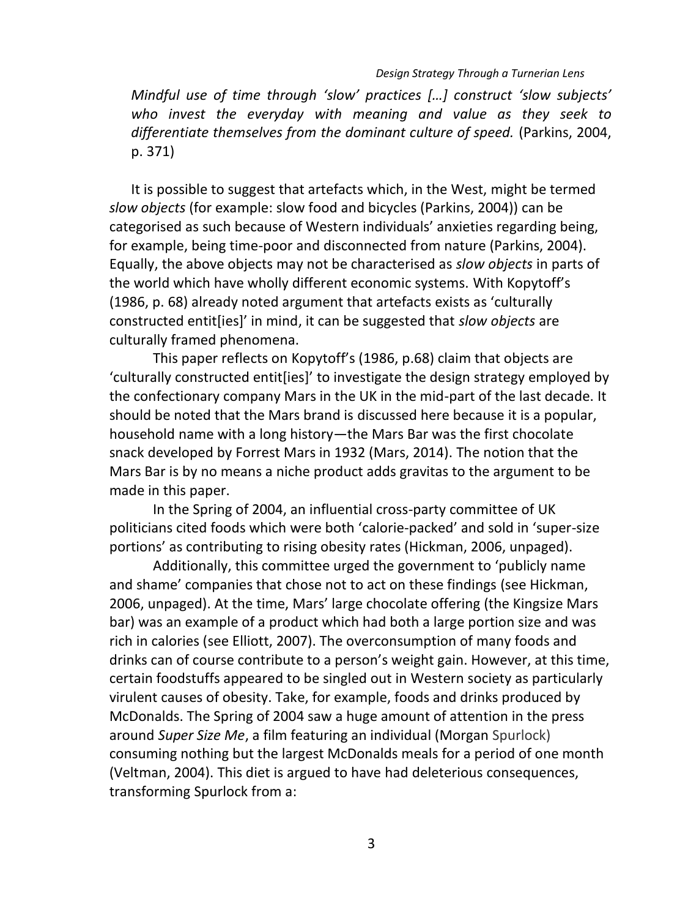#### *Design Strategy Through a Turnerian Lens*

*Mindful use of time through 'slow' practices […] construct 'slow subjects' who invest the everyday with meaning and value as they seek to differentiate themselves from the dominant culture of speed.* (Parkins, 2004, p. 371)

It is possible to suggest that artefacts which, in the West, might be termed *slow objects* (for example: slow food and bicycles (Parkins, 2004)) can be categorised as such because of Western individuals' anxieties regarding being, for example, being time-poor and disconnected from nature (Parkins, 2004). Equally, the above objects may not be characterised as *slow objects* in parts of the world which have wholly different economic systems. With Kopytoff's (1986, p. 68) already noted argument that artefacts exists as 'culturally constructed entit[ies]' in mind, it can be suggested that *slow objects* are culturally framed phenomena.

This paper reflects on Kopytoff's (1986, p.68) claim that objects are 'culturally constructed entit[ies]' to investigate the design strategy employed by the confectionary company Mars in the UK in the mid-part of the last decade. It should be noted that the Mars brand is discussed here because it is a popular, household name with a long history—the Mars Bar was the first chocolate snack developed by Forrest Mars in 1932 (Mars, 2014). The notion that the Mars Bar is by no means a niche product adds gravitas to the argument to be made in this paper.

In the Spring of 2004, an influential cross-party committee of UK politicians cited foods which were both 'calorie-packed' and sold in 'super-size portions' as contributing to rising obesity rates (Hickman, 2006, unpaged).

Additionally, this committee urged the government to 'publicly name and shame' companies that chose not to act on these findings (see Hickman, 2006, unpaged). At the time, Mars' large chocolate offering (the Kingsize Mars bar) was an example of a product which had both a large portion size and was rich in calories (see Elliott, 2007). The overconsumption of many foods and drinks can of course contribute to a person's weight gain. However, at this time, certain foodstuffs appeared to be singled out in Western society as particularly virulent causes of obesity. Take, for example, foods and drinks produced by McDonalds. The Spring of 2004 saw a huge amount of attention in the press around *Super Size Me*, a film featuring an individual (Morgan Spurlock) consuming nothing but the largest McDonalds meals for a period of one month (Veltman, 2004). This diet is argued to have had deleterious consequences, transforming Spurlock from a: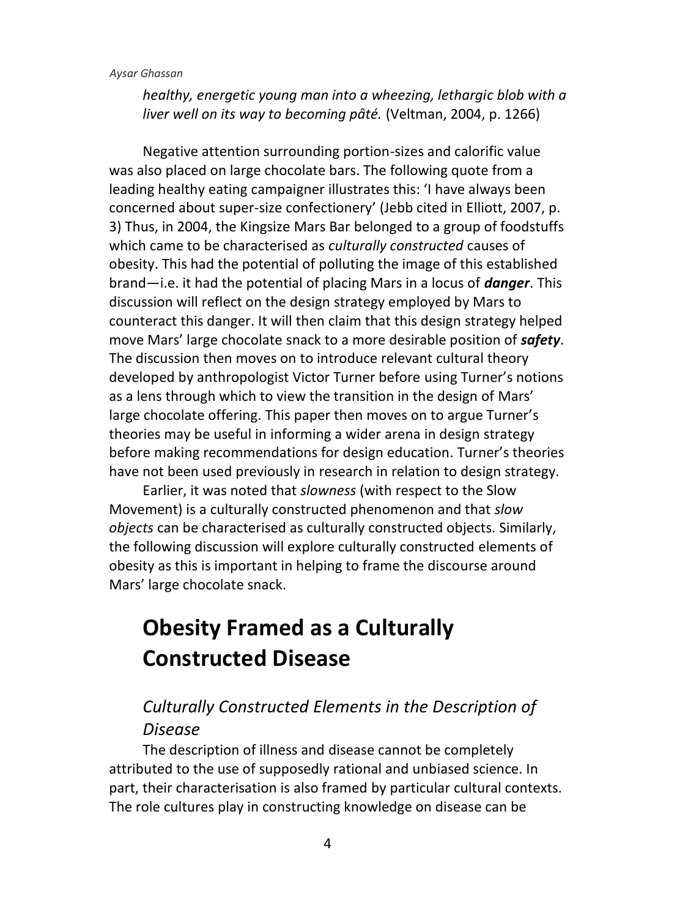*healthy, energetic young man into a wheezing, lethargic blob with a liver well on its way to becoming pâté.* (Veltman, 2004, p. 1266)

Negative attention surrounding portion-sizes and calorific value was also placed on large chocolate bars. The following quote from a leading healthy eating campaigner illustrates this: 'I have always been concerned about super-size confectionery' (Jebb cited in Elliott, 2007, p. 3) Thus, in 2004, the Kingsize Mars Bar belonged to a group of foodstuffs which came to be characterised as *culturally constructed* causes of obesity. This had the potential of polluting the image of this established brand—i.e. it had the potential of placing Mars in a locus of *danger*. This discussion will reflect on the design strategy employed by Mars to counteract this danger. It will then claim that this design strategy helped move Mars' large chocolate snack to a more desirable position of *safety*. The discussion then moves on to introduce relevant cultural theory developed by anthropologist Victor Turner before using Turner's notions as a lens through which to view the transition in the design of Mars' large chocolate offering. This paper then moves on to argue Turner's theories may be useful in informing a wider arena in design strategy before making recommendations for design education. Turner's theories have not been used previously in research in relation to design strategy.

Earlier, it was noted that *slowness* (with respect to the Slow Movement) is a culturally constructed phenomenon and that *slow objects* can be characterised as culturally constructed objects. Similarly, the following discussion will explore culturally constructed elements of obesity as this is important in helping to frame the discourse around Mars' large chocolate snack.

# **Obesity Framed as a Culturally Constructed Disease**

### *Culturally Constructed Elements in the Description of Disease*

The description of illness and disease cannot be completely attributed to the use of supposedly rational and unbiased science. In part, their characterisation is also framed by particular cultural contexts. The role cultures play in constructing knowledge on disease can be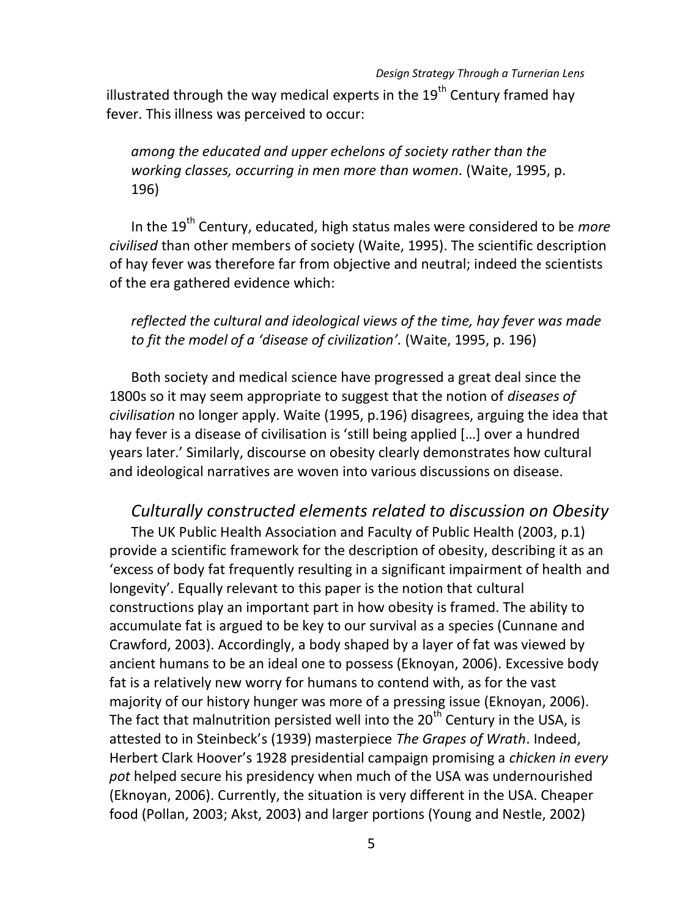#### *Design Strategy Through a Turnerian Lens*

illustrated through the way medical experts in the  $19^{th}$  Century framed hav fever. This illness was perceived to occur:

*among the educated and upper echelons of society rather than the working classes, occurring in men more than women.* (Waite, 1995, p. 196)

In the 19<sup>th</sup> Century, educated, high status males were considered to be *more civilised* than other members of society (Waite, 1995). The scientific description of hay fever was therefore far from objective and neutral; indeed the scientists of the era gathered evidence which:

#### *reflected the cultural and ideological views of the time, hay fever was made to fit the model of a 'disease of civilization'.* (Waite, 1995, p. 196)

Both society and medical science have progressed a great deal since the 1800s so it may seem appropriate to suggest that the notion of *diseases of civilisation* no longer apply. Waite (1995, p.196) disagrees, arguing the idea that hay fever is a disease of civilisation is 'still being applied […] over a hundred years later.' Similarly, discourse on obesity clearly demonstrates how cultural and ideological narratives are woven into various discussions on disease.

*Culturally constructed elements related to discussion on Obesity* The UK Public Health Association and Faculty of Public Health (2003, p.1) provide a scientific framework for the description of obesity, describing it as an 'excess of body fat frequently resulting in a significant impairment of health and longevity'. Equally relevant to this paper is the notion that cultural constructions play an important part in how obesity is framed. The ability to accumulate fat is argued to be key to our survival as a species (Cunnane and Crawford, 2003). Accordingly, a body shaped by a layer of fat was viewed by ancient humans to be an ideal one to possess (Eknoyan, 2006). Excessive body fat is a relatively new worry for humans to contend with, as for the vast majority of our history hunger was more of a pressing issue (Eknoyan, 2006). The fact that malnutrition persisted well into the  $20<sup>th</sup>$  Century in the USA, is attested to in Steinbeck's (1939) masterpiece *The Grapes of Wrath*. Indeed, Herbert Clark Hoover's 1928 presidential campaign promising a *chicken in every pot* helped secure his presidency when much of the USA was undernourished (Eknoyan, 2006). Currently, the situation is very different in the USA. Cheaper food (Pollan, 2003; Akst, 2003) and larger portions (Young and Nestle, 2002)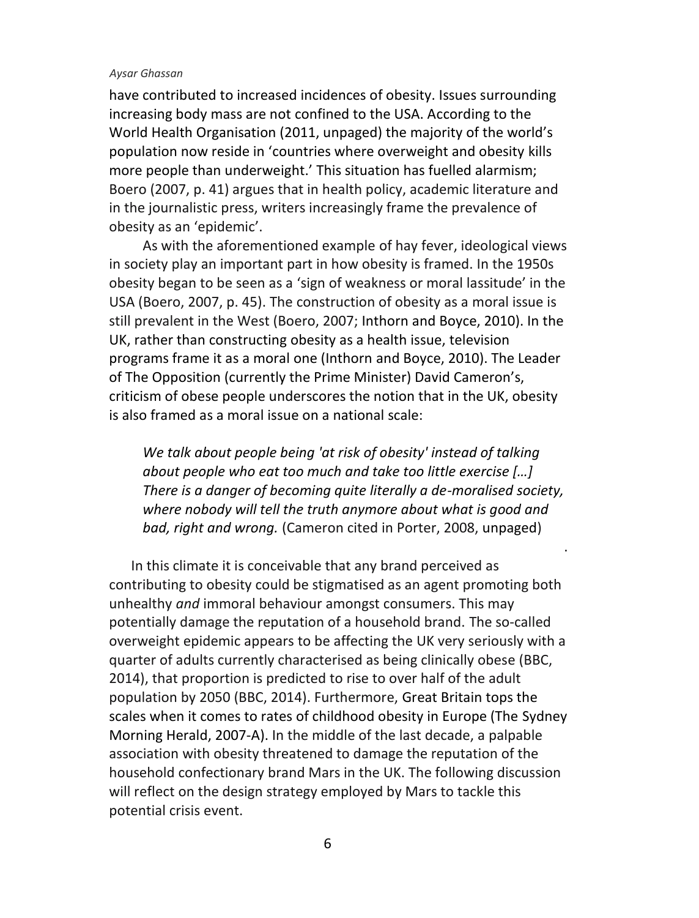have contributed to increased incidences of obesity. Issues surrounding increasing body mass are not confined to the USA. According to the World Health Organisation (2011, unpaged) the majority of the world's population now reside in 'countries where overweight and obesity kills more people than underweight.' This situation has fuelled alarmism; Boero (2007, p. 41) argues that in health policy, academic literature and in the journalistic press, writers increasingly frame the prevalence of obesity as an 'epidemic'.

As with the aforementioned example of hay fever, ideological views in society play an important part in how obesity is framed. In the 1950s obesity began to be seen as a 'sign of weakness or moral lassitude' in the USA (Boero, 2007, p. 45). The construction of obesity as a moral issue is still prevalent in the West (Boero, 2007; Inthorn and Boyce, 2010). In the UK, rather than constructing obesity as a health issue, television programs frame it as a moral one (Inthorn and Boyce, 2010). The Leader of The Opposition (currently the Prime Minister) David Cameron's, criticism of obese people underscores the notion that in the UK, obesity is also framed as a moral issue on a national scale:

*We talk about people being 'at risk of obesity' instead of talking about people who eat too much and take too little exercise […] There is a danger of becoming quite literally a de-moralised society, where nobody will tell the truth anymore about what is good and bad, right and wrong.* (Cameron cited in Porter, 2008, unpaged)

.

In this climate it is conceivable that any brand perceived as contributing to obesity could be stigmatised as an agent promoting both unhealthy *and* immoral behaviour amongst consumers. This may potentially damage the reputation of a household brand. The so-called overweight epidemic appears to be affecting the UK very seriously with a quarter of adults currently characterised as being clinically obese (BBC, 2014), that proportion is predicted to rise to over half of the adult population by 2050 (BBC, 2014). Furthermore, Great Britain tops the scales when it comes to rates of childhood obesity in Europe (The Sydney Morning Herald, 2007-A). In the middle of the last decade, a palpable association with obesity threatened to damage the reputation of the household confectionary brand Mars in the UK. The following discussion will reflect on the design strategy employed by Mars to tackle this potential crisis event.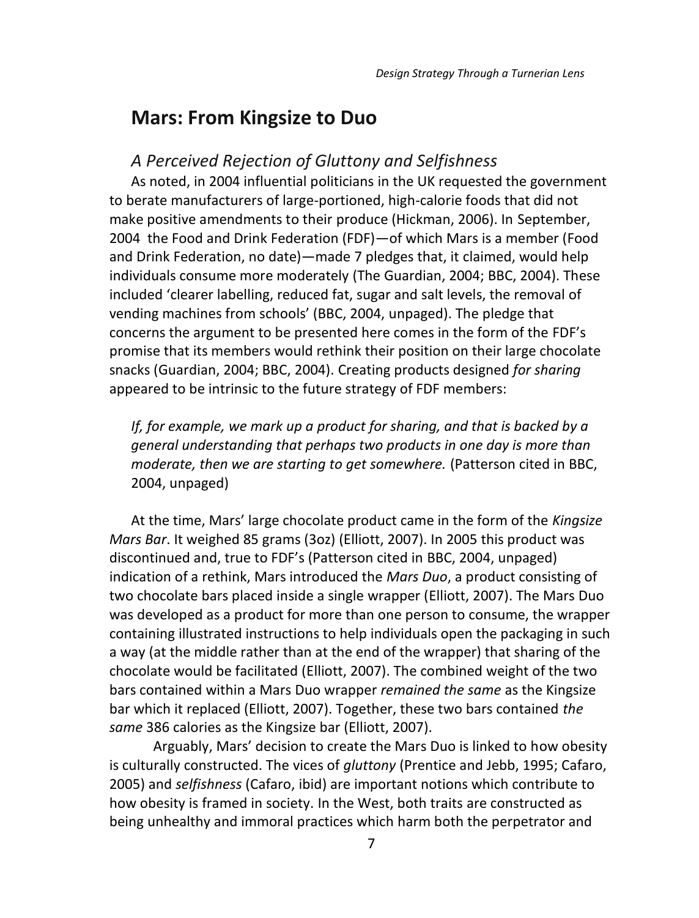# **Mars: From Kingsize to Duo**

### *A Perceived Rejection of Gluttony and Selfishness*

As noted, in 2004 influential politicians in the UK requested the government to berate manufacturers of large-portioned, high-calorie foods that did not make positive amendments to their produce (Hickman, 2006). In September, 2004 the Food and Drink Federation (FDF)—of which Mars is a member (Food and Drink Federation, no date)—made 7 pledges that, it claimed, would help individuals consume more moderately (The Guardian, 2004; BBC, 2004). These included 'clearer labelling, reduced fat, sugar and salt levels, the removal of vending machines from schools' (BBC, 2004, unpaged). The pledge that concerns the argument to be presented here comes in the form of the FDF's promise that its members would rethink their position on their large chocolate snacks (Guardian, 2004; BBC, 2004). Creating products designed *for sharing* appeared to be intrinsic to the future strategy of FDF members:

*If, for example, we mark up a product for sharing, and that is backed by a general understanding that perhaps two products in one day is more than moderate, then we are starting to get somewhere.* (Patterson cited in BBC, 2004, unpaged)

At the time, Mars' large chocolate product came in the form of the *Kingsize Mars Bar*. It weighed 85 grams (3oz) (Elliott, 2007). In 2005 this product was discontinued and, true to FDF's (Patterson cited in BBC, 2004, unpaged) indication of a rethink, Mars introduced the *Mars Duo*, a product consisting of two chocolate bars placed inside a single wrapper (Elliott, 2007). The Mars Duo was developed as a product for more than one person to consume, the wrapper containing illustrated instructions to help individuals open the packaging in such a way (at the middle rather than at the end of the wrapper) that sharing of the chocolate would be facilitated (Elliott, 2007). The combined weight of the two bars contained within a Mars Duo wrapper *remained the same* as the Kingsize bar which it replaced (Elliott, 2007). Together, these two bars contained *the same* 386 calories as the Kingsize bar (Elliott, 2007).

Arguably, Mars' decision to create the Mars Duo is linked to how obesity is culturally constructed. The vices of *gluttony* (Prentice and Jebb, 1995; Cafaro, 2005) and *selfishness* (Cafaro, ibid) are important notions which contribute to how obesity is framed in society. In the West, both traits are constructed as being unhealthy and immoral practices which harm both the perpetrator and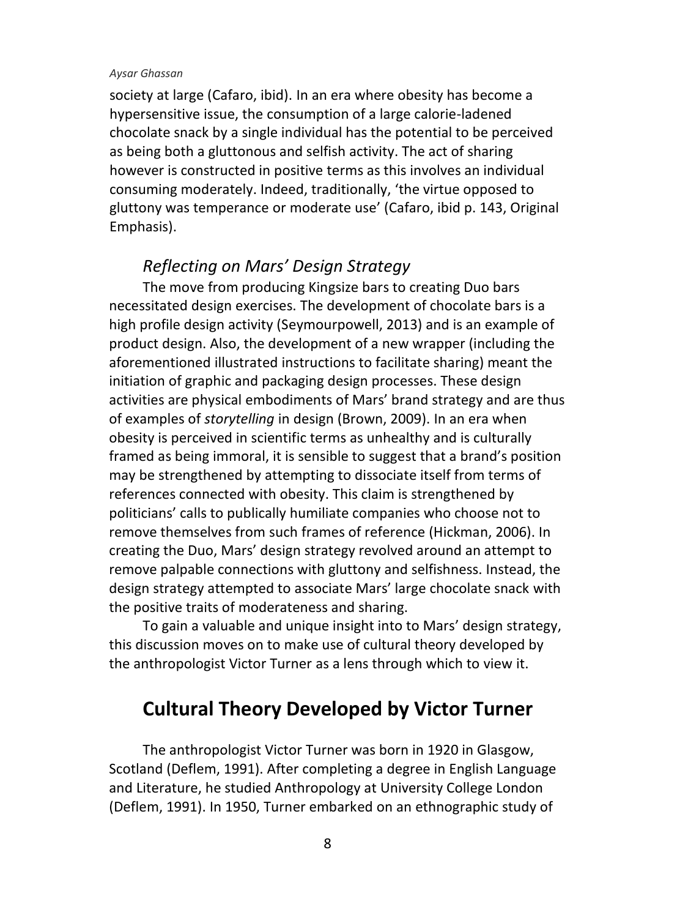society at large (Cafaro, ibid). In an era where obesity has become a hypersensitive issue, the consumption of a large calorie-ladened chocolate snack by a single individual has the potential to be perceived as being both a gluttonous and selfish activity. The act of sharing however is constructed in positive terms as this involves an individual consuming moderately. Indeed, traditionally, 'the virtue opposed to gluttony was temperance or moderate use' (Cafaro, ibid p. 143, Original Emphasis).

### *Reflecting on Mars' Design Strategy*

The move from producing Kingsize bars to creating Duo bars necessitated design exercises. The development of chocolate bars is a high profile design activity (Seymourpowell, 2013) and is an example of product design. Also, the development of a new wrapper (including the aforementioned illustrated instructions to facilitate sharing) meant the initiation of graphic and packaging design processes. These design activities are physical embodiments of Mars' brand strategy and are thus of examples of *storytelling* in design (Brown, 2009). In an era when obesity is perceived in scientific terms as unhealthy and is culturally framed as being immoral, it is sensible to suggest that a brand's position may be strengthened by attempting to dissociate itself from terms of references connected with obesity. This claim is strengthened by politicians' calls to publically humiliate companies who choose not to remove themselves from such frames of reference (Hickman, 2006). In creating the Duo, Mars' design strategy revolved around an attempt to remove palpable connections with gluttony and selfishness. Instead, the design strategy attempted to associate Mars' large chocolate snack with the positive traits of moderateness and sharing.

To gain a valuable and unique insight into to Mars' design strategy, this discussion moves on to make use of cultural theory developed by the anthropologist Victor Turner as a lens through which to view it.

# **Cultural Theory Developed by Victor Turner**

The anthropologist Victor Turner was born in 1920 in Glasgow, Scotland (Deflem, 1991). After completing a degree in English Language and Literature, he studied Anthropology at University College London (Deflem, 1991). In 1950, Turner embarked on an ethnographic study of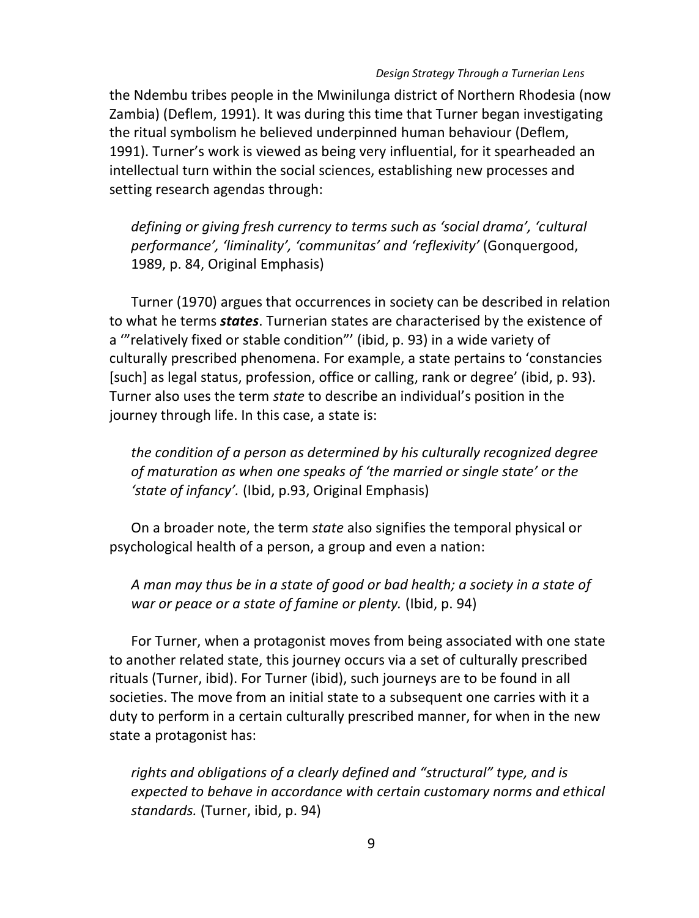#### *Design Strategy Through a Turnerian Lens*

the Ndembu tribes people in the Mwinilunga district of Northern Rhodesia (now Zambia) (Deflem, 1991). It was during this time that Turner began investigating the ritual symbolism he believed underpinned human behaviour (Deflem, 1991). Turner's work is viewed as being very influential, for it spearheaded an intellectual turn within the social sciences, establishing new processes and setting research agendas through:

*defining or giving fresh currency to terms such as 'social drama', 'cultural performance', 'liminality', 'communitas' and 'reflexivity'* (Gonquergood, 1989, p. 84, Original Emphasis)

Turner (1970) argues that occurrences in society can be described in relation to what he terms *states*. Turnerian states are characterised by the existence of a '"relatively fixed or stable condition"' (ibid, p. 93) in a wide variety of culturally prescribed phenomena. For example, a state pertains to 'constancies [such] as legal status, profession, office or calling, rank or degree' (ibid, p. 93). Turner also uses the term *state* to describe an individual's position in the journey through life. In this case, a state is:

*the condition of a person as determined by his culturally recognized degree of maturation as when one speaks of 'the married or single state' or the 'state of infancy'.* (Ibid, p.93, Original Emphasis)

On a broader note, the term *state* also signifies the temporal physical or psychological health of a person, a group and even a nation:

*A man may thus be in a state of good or bad health; a society in a state of war or peace or a state of famine or plenty.* (Ibid, p. 94)

For Turner, when a protagonist moves from being associated with one state to another related state, this journey occurs via a set of culturally prescribed rituals (Turner, ibid). For Turner (ibid), such journeys are to be found in all societies. The move from an initial state to a subsequent one carries with it a duty to perform in a certain culturally prescribed manner, for when in the new state a protagonist has:

*rights and obligations of a clearly defined and "structural" type, and is expected to behave in accordance with certain customary norms and ethical standards.* (Turner, ibid, p. 94)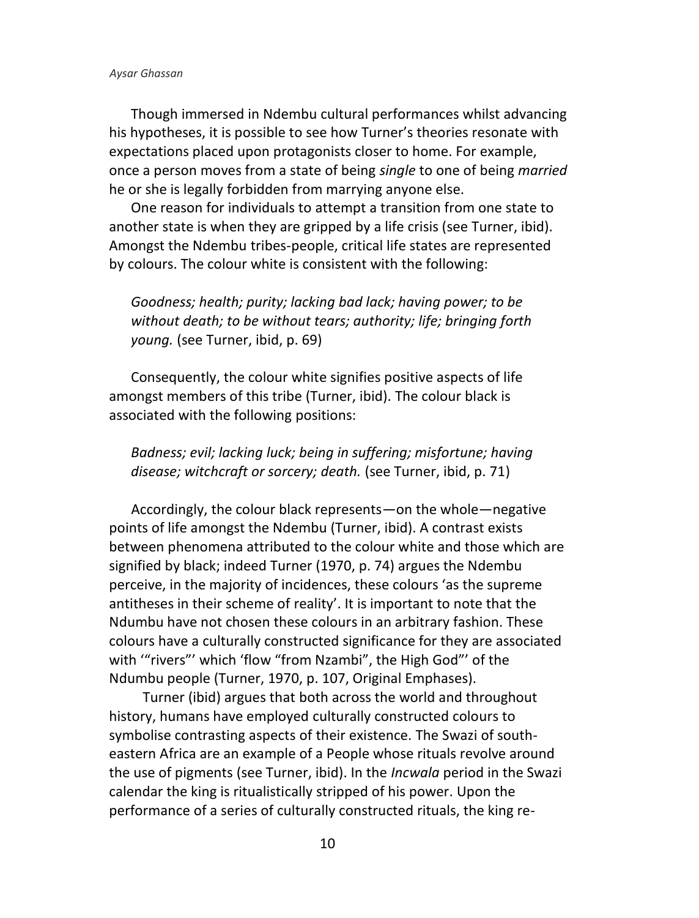Though immersed in Ndembu cultural performances whilst advancing his hypotheses, it is possible to see how Turner's theories resonate with expectations placed upon protagonists closer to home. For example, once a person moves from a state of being *single* to one of being *married* he or she is legally forbidden from marrying anyone else.

One reason for individuals to attempt a transition from one state to another state is when they are gripped by a life crisis (see Turner, ibid). Amongst the Ndembu tribes-people, critical life states are represented by colours. The colour white is consistent with the following:

*Goodness; health; purity; lacking bad lack; having power; to be without death; to be without tears; authority; life; bringing forth young.* (see Turner, ibid, p. 69)

Consequently, the colour white signifies positive aspects of life amongst members of this tribe (Turner, ibid). The colour black is associated with the following positions:

*Badness; evil; lacking luck; being in suffering; misfortune; having disease; witchcraft or sorcery; death.* (see Turner, ibid, p. 71)

Accordingly, the colour black represents—on the whole—negative points of life amongst the Ndembu (Turner, ibid). A contrast exists between phenomena attributed to the colour white and those which are signified by black; indeed Turner (1970, p. 74) argues the Ndembu perceive, in the majority of incidences, these colours 'as the supreme antitheses in their scheme of reality'. It is important to note that the Ndumbu have not chosen these colours in an arbitrary fashion. These colours have a culturally constructed significance for they are associated with '"rivers"' which 'flow "from Nzambi", the High God"' of the Ndumbu people (Turner, 1970, p. 107, Original Emphases).

Turner (ibid) argues that both across the world and throughout history, humans have employed culturally constructed colours to symbolise contrasting aspects of their existence. The Swazi of southeastern Africa are an example of a People whose rituals revolve around the use of pigments (see Turner, ibid). In the *Incwala* period in the Swazi calendar the king is ritualistically stripped of his power. Upon the performance of a series of culturally constructed rituals, the king re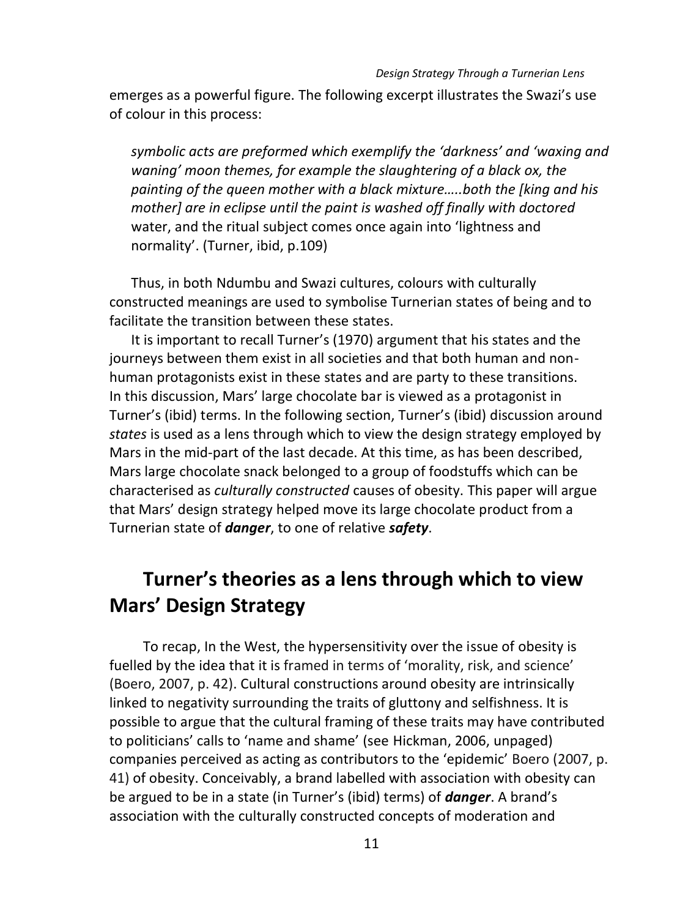emerges as a powerful figure. The following excerpt illustrates the Swazi's use of colour in this process:

*symbolic acts are preformed which exemplify the 'darkness' and 'waxing and waning' moon themes, for example the slaughtering of a black ox, the painting of the queen mother with a black mixture…..both the [king and his mother] are in eclipse until the paint is washed off finally with doctored*  water, and the ritual subject comes once again into 'lightness and normality'. (Turner, ibid, p.109)

Thus, in both Ndumbu and Swazi cultures, colours with culturally constructed meanings are used to symbolise Turnerian states of being and to facilitate the transition between these states.

It is important to recall Turner's (1970) argument that his states and the journeys between them exist in all societies and that both human and nonhuman protagonists exist in these states and are party to these transitions. In this discussion, Mars' large chocolate bar is viewed as a protagonist in Turner's (ibid) terms. In the following section, Turner's (ibid) discussion around *states* is used as a lens through which to view the design strategy employed by Mars in the mid-part of the last decade. At this time, as has been described, Mars large chocolate snack belonged to a group of foodstuffs which can be characterised as *culturally constructed* causes of obesity. This paper will argue that Mars' design strategy helped move its large chocolate product from a Turnerian state of *danger*, to one of relative *safety*.

# **Turner's theories as a lens through which to view Mars' Design Strategy**

To recap, In the West, the hypersensitivity over the issue of obesity is fuelled by the idea that it is framed in terms of 'morality, risk, and science' (Boero, 2007, p. 42). Cultural constructions around obesity are intrinsically linked to negativity surrounding the traits of gluttony and selfishness. It is possible to argue that the cultural framing of these traits may have contributed to politicians' calls to 'name and shame' (see Hickman, 2006, unpaged) companies perceived as acting as contributors to the 'epidemic' Boero (2007, p. 41) of obesity. Conceivably, a brand labelled with association with obesity can be argued to be in a state (in Turner's (ibid) terms) of *danger*. A brand's association with the culturally constructed concepts of moderation and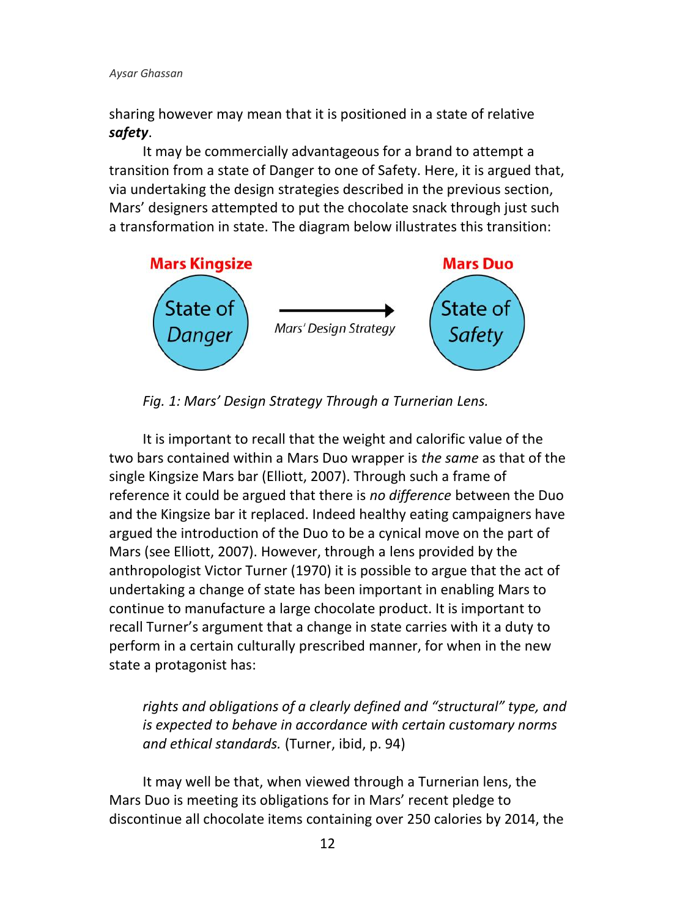sharing however may mean that it is positioned in a state of relative *safety*.

It may be commercially advantageous for a brand to attempt a transition from a state of Danger to one of Safety. Here, it is argued that, via undertaking the design strategies described in the previous section, Mars' designers attempted to put the chocolate snack through just such a transformation in state. The diagram below illustrates this transition:



*Fig. 1: Mars' Design Strategy Through a Turnerian Lens.*

It is important to recall that the weight and calorific value of the two bars contained within a Mars Duo wrapper is *the same* as that of the single Kingsize Mars bar (Elliott, 2007). Through such a frame of reference it could be argued that there is *no difference* between the Duo and the Kingsize bar it replaced. Indeed healthy eating campaigners have argued the introduction of the Duo to be a cynical move on the part of Mars (see Elliott, 2007). However, through a lens provided by the anthropologist Victor Turner (1970) it is possible to argue that the act of undertaking a change of state has been important in enabling Mars to continue to manufacture a large chocolate product. It is important to recall Turner's argument that a change in state carries with it a duty to perform in a certain culturally prescribed manner, for when in the new state a protagonist has:

*rights and obligations of a clearly defined and "structural" type, and is expected to behave in accordance with certain customary norms and ethical standards.* (Turner, ibid, p. 94)

It may well be that, when viewed through a Turnerian lens, the Mars Duo is meeting its obligations for in Mars' recent pledge to discontinue all chocolate items containing over 250 calories by 2014, the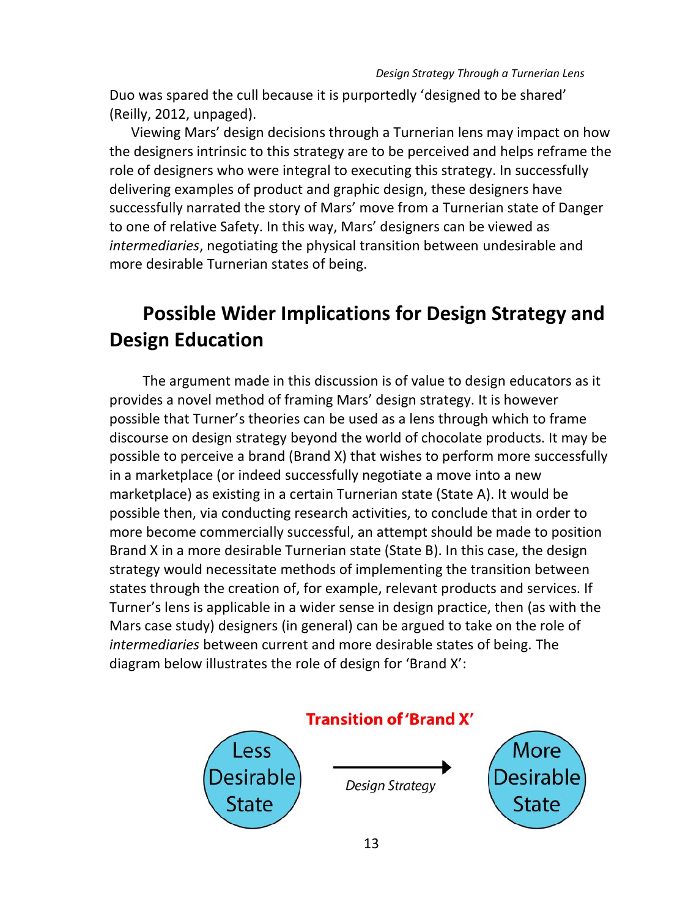Duo was spared the cull because it is purportedly 'designed to be shared' (Reilly, 2012, unpaged).

Viewing Mars' design decisions through a Turnerian lens may impact on how the designers intrinsic to this strategy are to be perceived and helps reframe the role of designers who were integral to executing this strategy. In successfully delivering examples of product and graphic design, these designers have successfully narrated the story of Mars' move from a Turnerian state of Danger to one of relative Safety. In this way, Mars' designers can be viewed as *intermediaries*, negotiating the physical transition between undesirable and more desirable Turnerian states of being.

# **Possible Wider Implications for Design Strategy and Design Education**

The argument made in this discussion is of value to design educators as it provides a novel method of framing Mars' design strategy. It is however possible that Turner's theories can be used as a lens through which to frame discourse on design strategy beyond the world of chocolate products. It may be possible to perceive a brand (Brand X) that wishes to perform more successfully in a marketplace (or indeed successfully negotiate a move into a new marketplace) as existing in a certain Turnerian state (State A). It would be possible then, via conducting research activities, to conclude that in order to more become commercially successful, an attempt should be made to position Brand X in a more desirable Turnerian state (State B). In this case, the design strategy would necessitate methods of implementing the transition between states through the creation of, for example, relevant products and services. If Turner's lens is applicable in a wider sense in design practice, then (as with the Mars case study) designers (in general) can be argued to take on the role of *intermediaries* between current and more desirable states of being. The diagram below illustrates the role of design for 'Brand X':

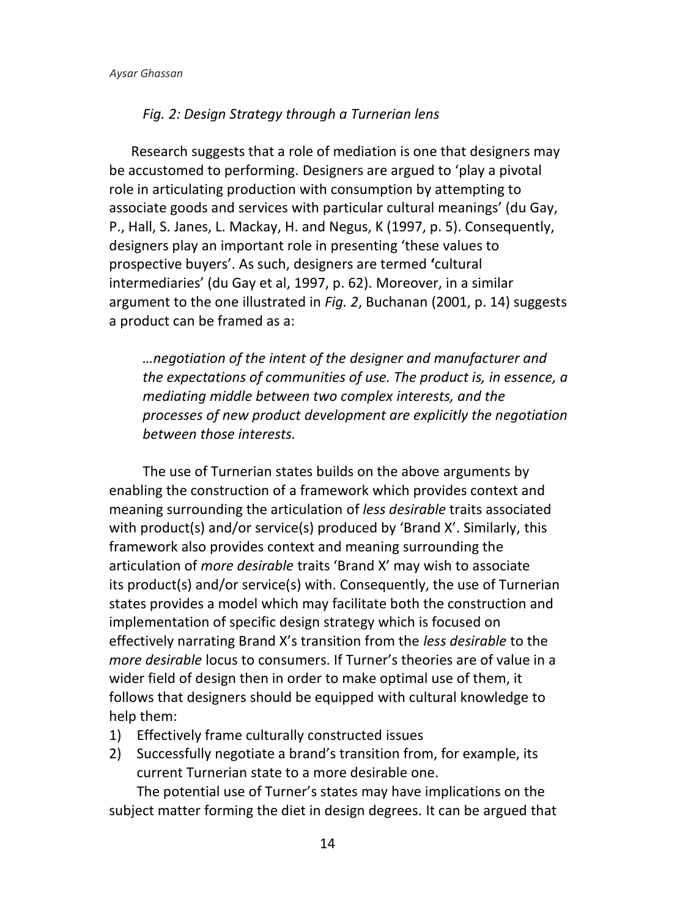#### *Fig. 2: Design Strategy through a Turnerian lens*

Research suggests that a role of mediation is one that designers may be accustomed to performing. Designers are argued to 'play a pivotal role in articulating production with consumption by attempting to associate goods and services with particular cultural meanings' (du Gay, P., Hall, S. Janes, L. Mackay, H. and Negus, K (1997, p. 5). Consequently, designers play an important role in presenting 'these values to prospective buyers'. As such, designers are termed **'**cultural intermediaries' (du Gay et al, 1997, p. 62). Moreover, in a similar argument to the one illustrated in *Fig. 2*, Buchanan (2001, p. 14) suggests a product can be framed as a:

*…negotiation of the intent of the designer and manufacturer and the expectations of communities of use. The product is, in essence, a mediating middle between two complex interests, and the processes of new product development are explicitly the negotiation between those interests.*

The use of Turnerian states builds on the above arguments by enabling the construction of a framework which provides context and meaning surrounding the articulation of *less desirable* traits associated with product(s) and/or service(s) produced by 'Brand X'. Similarly, this framework also provides context and meaning surrounding the articulation of *more desirable* traits 'Brand X' may wish to associate its product(s) and/or service(s) with. Consequently, the use of Turnerian states provides a model which may facilitate both the construction and implementation of specific design strategy which is focused on effectively narrating Brand X's transition from the *less desirable* to the *more desirable* locus to consumers. If Turner's theories are of value in a wider field of design then in order to make optimal use of them, it follows that designers should be equipped with cultural knowledge to help them:

- 1) Effectively frame culturally constructed issues
- 2) Successfully negotiate a brand's transition from, for example, its current Turnerian state to a more desirable one.

The potential use of Turner's states may have implications on the subject matter forming the diet in design degrees. It can be argued that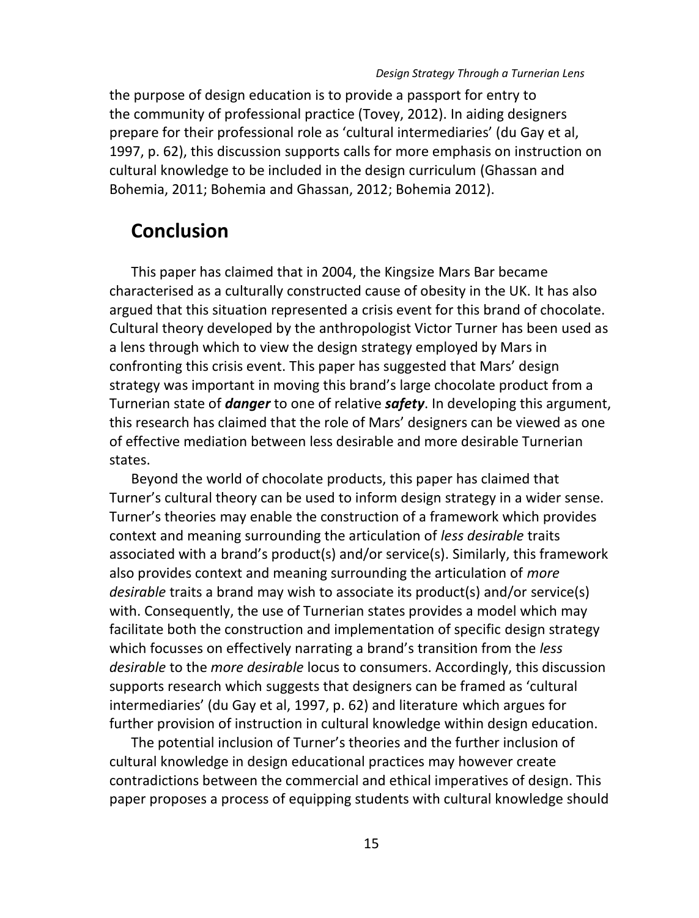the purpose of design education is to provide a passport for entry to the community of professional practice (Tovey, 2012). In aiding designers prepare for their professional role as 'cultural intermediaries' (du Gay et al, 1997, p. 62), this discussion supports calls for more emphasis on instruction on cultural knowledge to be included in the design curriculum (Ghassan and Bohemia, 2011; Bohemia and Ghassan, 2012; Bohemia 2012).

## **Conclusion**

This paper has claimed that in 2004, the Kingsize Mars Bar became characterised as a culturally constructed cause of obesity in the UK. It has also argued that this situation represented a crisis event for this brand of chocolate. Cultural theory developed by the anthropologist Victor Turner has been used as a lens through which to view the design strategy employed by Mars in confronting this crisis event. This paper has suggested that Mars' design strategy was important in moving this brand's large chocolate product from a Turnerian state of *danger* to one of relative *safety*. In developing this argument, this research has claimed that the role of Mars' designers can be viewed as one of effective mediation between less desirable and more desirable Turnerian states.

Beyond the world of chocolate products, this paper has claimed that Turner's cultural theory can be used to inform design strategy in a wider sense. Turner's theories may enable the construction of a framework which provides context and meaning surrounding the articulation of *less desirable* traits associated with a brand's product(s) and/or service(s). Similarly, this framework also provides context and meaning surrounding the articulation of *more desirable* traits a brand may wish to associate its product(s) and/or service(s) with. Consequently, the use of Turnerian states provides a model which may facilitate both the construction and implementation of specific design strategy which focusses on effectively narrating a brand's transition from the *less desirable* to the *more desirable* locus to consumers. Accordingly, this discussion supports research which suggests that designers can be framed as 'cultural intermediaries' (du Gay et al, 1997, p. 62) and literature which argues for further provision of instruction in cultural knowledge within design education.

The potential inclusion of Turner's theories and the further inclusion of cultural knowledge in design educational practices may however create contradictions between the commercial and ethical imperatives of design. This paper proposes a process of equipping students with cultural knowledge should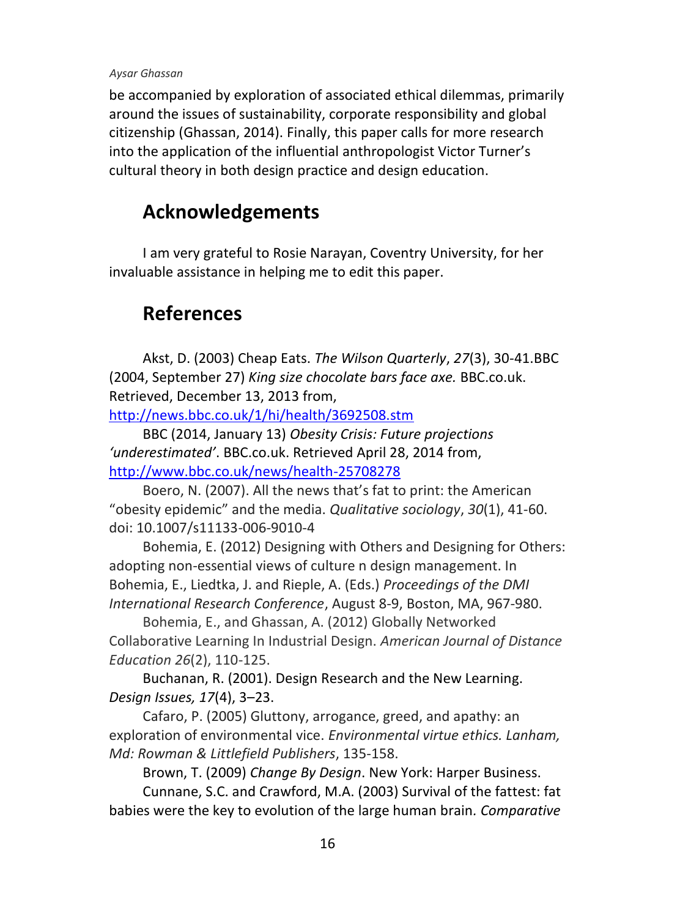be accompanied by exploration of associated ethical dilemmas, primarily around the issues of sustainability, corporate responsibility and global citizenship (Ghassan, 2014). Finally, this paper calls for more research into the application of the influential anthropologist Victor Turner's cultural theory in both design practice and design education.

# **Acknowledgements**

I am very grateful to Rosie Narayan, Coventry University, for her invaluable assistance in helping me to edit this paper.

# **References**

Akst, D. (2003) Cheap Eats. *The Wilson Quarterly*, *27*[\(3\),](http://www.jstor.org/stable/i40010094) 30-41.BBC (2004, September 27) *King size chocolate bars face axe.* BBC.co.uk. Retrieved, December 13, 2013 from,

<http://news.bbc.co.uk/1/hi/health/3692508.stm>

BBC (2014, January 13) *Obesity Crisis: Future projections 'underestimated'*. BBC.co.uk. Retrieved April 28, 2014 from, <http://www.bbc.co.uk/news/health-25708278>

Boero, N. (2007). All the news that's fat to print: the American "obesity epidemic" and the media. *Qualitative sociology*, *30*(1), 41-60. doi: 10.1007/s11133-006-9010-4

Bohemia, E. (2012) Designing with Others and Designing for Others: adopting non-essential views of culture n design management. In Bohemia, E., Liedtka, J. and Rieple, A. (Eds.) *Proceedings of the DMI International Research Conference*, August 8-9, Boston, MA, 967-980.

Bohemia, E., and Ghassan, A. (2012) Globally Networked Collaborative Learning In Industrial Design. *American Journal of Distance Education 26*(2), 110-125.

Buchanan, R. (2001). Design Research and the New Learning. *Design Issues, 17*(4), 3–23.

Cafaro, P. (2005) Gluttony, arrogance, greed, and apathy: an exploration of environmental vice. *Environmental virtue ethics. Lanham, Md: Rowman & Littlefield Publishers*, 135-158.

Brown, T. (2009) *Change By Design*. New York: Harper Business.

Cunnane, S.C. and Crawford, M.A. (2003) Survival of the fattest: fat babies were the key to evolution of the large human brain*. Comparative*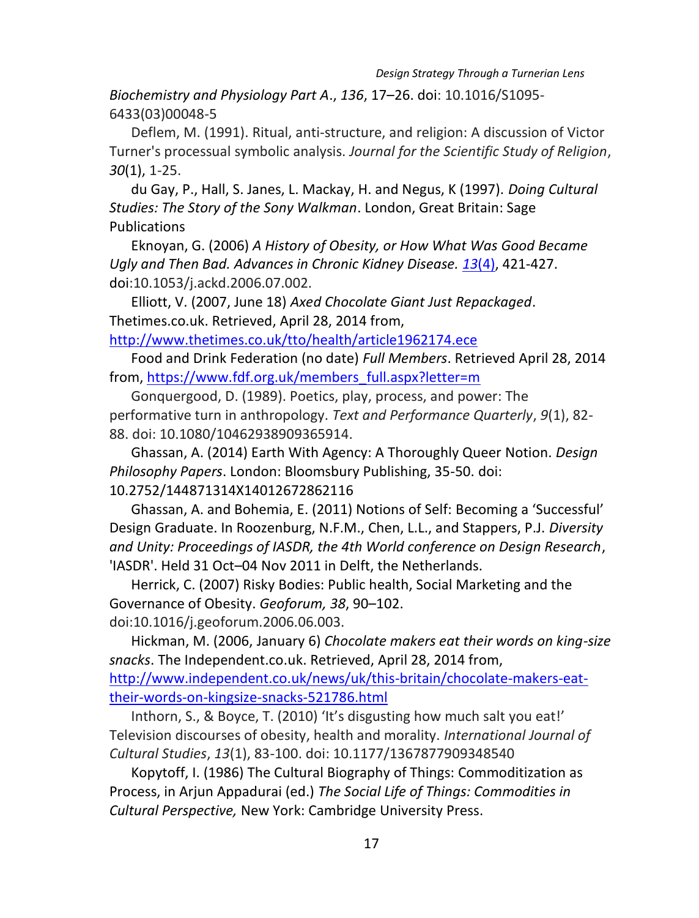*Biochemistry and Physiology Part A*., *136*, 17–26. doi: 10.1016/S1095- 6433(03)00048-5

Deflem, M. (1991). Ritual, anti-structure, and religion: A discussion of Victor Turner's processual symbolic analysis. *Journal for the Scientific Study of Religion*, *30*(1), 1-25.

du Gay, P., Hall, S. Janes, L. Mackay, H. and Negus, K (1997). *Doing Cultural Studies: The Story of the Sony Walkman*. London, Great Britain: Sage Publications

Eknoyan, G. (2006) *A History of Obesity, or How What Was Good Became Ugly and Then Bad. Advances in Chronic Kidney Disease. 13*[\(4\)](http://www.ackdjournal.org/issues?issue_key=S1548-5595(06)X0014-9), 421-427. doi:10.1053/j.ackd.2006.07.002.

Elliott, V. (2007, June 18) *Axed Chocolate Giant Just Repackaged*. Thetimes.co.uk. Retrieved, April 28, 2014 from,

<http://www.thetimes.co.uk/tto/health/article1962174.ece>

Food and Drink Federation (no date) *Full Members*. Retrieved April 28, 2014 from[, https://www.fdf.org.uk/members\\_full.aspx?letter=m](https://www.fdf.org.uk/members_full.aspx?letter=m)

Gonquergood, D. (1989). Poetics, play, process, and power: The performative turn in anthropology. *Text and Performance Quarterly*, *9*(1), 82- 88. doi: 10.1080/10462938909365914.

Ghassan, A. (2014) Earth With Agency: A Thoroughly Queer Notion. *Design Philosophy Papers*. London: Bloomsbury Publishing, 35-50. doi: 10.2752/144871314X14012672862116

Ghassan, A. and Bohemia, E. (2011) Notions of Self: Becoming a 'Successful' Design Graduate. In Roozenburg, N.F.M., Chen, L.L., and Stappers, P.J. *Diversity and Unity: Proceedings of IASDR, the 4th World conference on Design Research*, 'IASDR'. Held 31 Oct–04 Nov 2011 in Delft, the Netherlands.

Herrick, C. (2007) Risky Bodies: Public health, Social Marketing and the Governance of Obesity. *Geoforum, 38*, 90–102. doi:10.1016/j.geoforum.2006.06.003.

Hickman, M. (2006, January 6) *Chocolate makers eat their words on king-size snacks*. The Independent.co.uk. Retrieved, April 28, 2014 from,

[http://www.independent.co.uk/news/uk/this-britain/chocolate-makers-eat](http://www.independent.co.uk/news/uk/this-britain/chocolate-makers-eat-their-words-on-kingsize-snacks-521786.html)[their-words-on-kingsize-snacks-521786.html](http://www.independent.co.uk/news/uk/this-britain/chocolate-makers-eat-their-words-on-kingsize-snacks-521786.html)

Inthorn, S., & Boyce, T. (2010) 'It's disgusting how much salt you eat!' Television discourses of obesity, health and morality. *International Journal of Cultural Studies*, *13*(1), 83-100. doi: 10.1177/1367877909348540

Kopytoff, I. (1986) The Cultural Biography of Things: Commoditization as Process, in Arjun Appadurai (ed.) *The Social Life of Things: Commodities in Cultural Perspective,* New York: Cambridge University Press.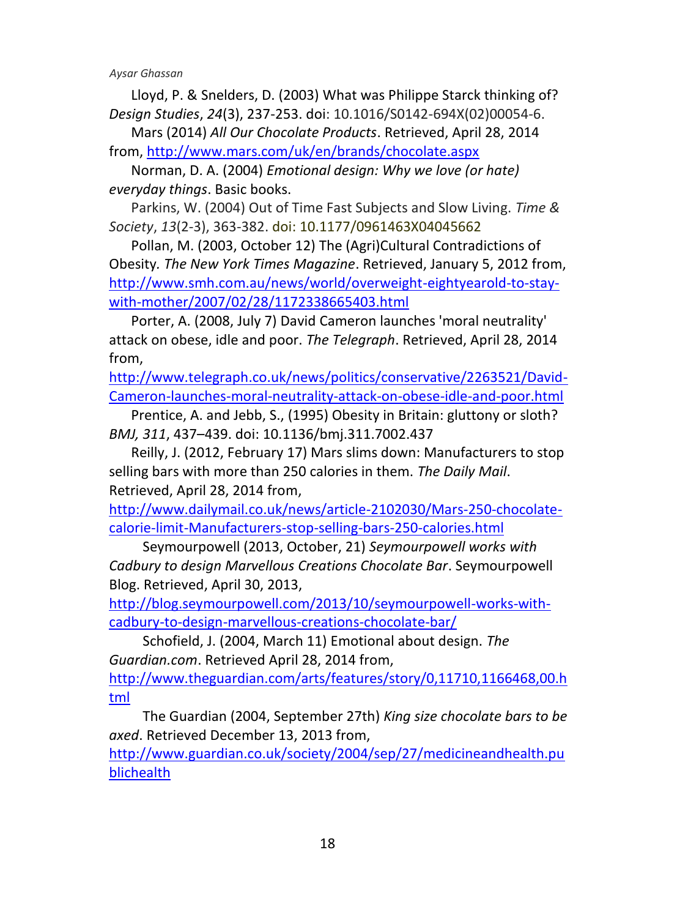Lloyd, P. & Snelders, D. (2003) What was Philippe Starck thinking of? *Design Studies*, *24*(3), 237-253. doi: 10.1016/S0142-694X(02)00054-6.

Mars (2014) *All Our Chocolate Products*. Retrieved, April 28, 2014 from,<http://www.mars.com/uk/en/brands/chocolate.aspx>

Norman, D. A. (2004) *Emotional design: Why we love (or hate) everyday things*. Basic books.

Parkins, W. (2004) Out of Time Fast Subjects and Slow Living. *Time & Society*, *13*(2-3), 363-382. doi: 10.1177/0961463X04045662

Pollan, M. (2003, October 12) The (Agri)Cultural Contradictions of Obesity*. The New York Times Magazine*. Retrieved, January 5, 2012 from, [http://www.smh.com.au/news/world/overweight-eightyearold-to-stay](http://www.smh.com.au/news/world/overweight-eightyearold-to-stay-with-mother/2007/02/28/1172338665403.html)[with-mother/2007/02/28/1172338665403.html](http://www.smh.com.au/news/world/overweight-eightyearold-to-stay-with-mother/2007/02/28/1172338665403.html)

Porter, A. (2008, July 7) David Cameron launches 'moral neutrality' attack on obese, idle and poor. *The Telegraph*. Retrieved, April 28, 2014 from,

[http://www.telegraph.co.uk/news/politics/conservative/2263521/David-](http://www.telegraph.co.uk/news/politics/conservative/2263521/David-Cameron-launches-moral-neutrality-attack-on-obese-idle-and-poor.html)[Cameron-launches-moral-neutrality-attack-on-obese-idle-and-poor.html](http://www.telegraph.co.uk/news/politics/conservative/2263521/David-Cameron-launches-moral-neutrality-attack-on-obese-idle-and-poor.html)

Prentice, A. and Jebb, S., (1995) Obesity in Britain: gluttony or sloth? *BMJ, 311*, 437–439. doi: 10.1136/bmj.311.7002.437

Reilly, J. (2012, February 17) Mars slims down: Manufacturers to stop selling bars with more than 250 calories in them. *The Daily Mail*. Retrieved, April 28, 2014 from,

[http://www.dailymail.co.uk/news/article-2102030/Mars-250-chocolate](http://www.dailymail.co.uk/news/article-2102030/Mars-250-chocolate-calorie-limit-Manufacturers-stop-selling-bars-250-calories.html)[calorie-limit-Manufacturers-stop-selling-bars-250-calories.html](http://www.dailymail.co.uk/news/article-2102030/Mars-250-chocolate-calorie-limit-Manufacturers-stop-selling-bars-250-calories.html)

Seymourpowell (2013, October, 21) *Seymourpowell works with Cadbury to design Marvellous Creations Chocolate Bar*. Seymourpowell Blog. Retrieved, April 30, 2013,

[http://blog.seymourpowell.com/2013/10/seymourpowell-works-with](http://blog.seymourpowell.com/2013/10/seymourpowell-works-with-cadbury-to-design-marvellous-creations-chocolate-bar/)[cadbury-to-design-marvellous-creations-chocolate-bar/](http://blog.seymourpowell.com/2013/10/seymourpowell-works-with-cadbury-to-design-marvellous-creations-chocolate-bar/)

Schofield, J. (2004, March 11) Emotional about design. *The Guardian.com*. Retrieved April 28, 2014 from,

[http://www.theguardian.com/arts/features/story/0,11710,1166468,00.h](http://www.theguardian.com/arts/features/story/0,11710,1166468,00.html) [tml](http://www.theguardian.com/arts/features/story/0,11710,1166468,00.html)

The Guardian (2004, September 27th) *King size chocolate bars to be axed*. Retrieved December 13, 2013 from,

[http://www.guardian.co.uk/society/2004/sep/27/medicineandhealth.pu](https://owa.northumbria.ac.uk/exchweb/bin/redir.asp?URL=http://www.guardian.co.uk/society/2004/sep/27/medicineandhealth.publichealth) [blichealth](https://owa.northumbria.ac.uk/exchweb/bin/redir.asp?URL=http://www.guardian.co.uk/society/2004/sep/27/medicineandhealth.publichealth)